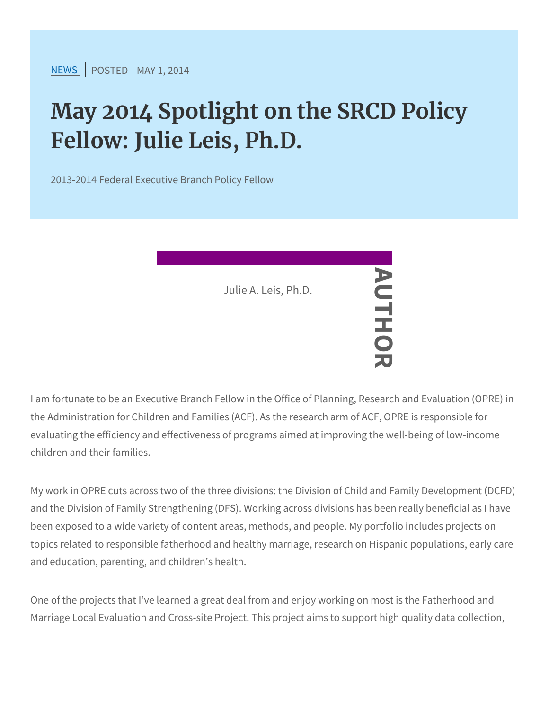[NEW](https://www.srcd.org/news)SPOSTENDAY 1, 2014

## May 2014 Spotlight on the SRCD Fellow: Julie Leis, Ph.D.

2013-2014 Federal Executive Branch Policy Fellow

I am fortunate to be an Executive Branch Fellow in the Office of Pla the Administration for Children and Families  $\sqrt{A}$ CF). As the research evaluating the efficiency and effectiveness of programs aimed at im children and their families. Julie A. Leis, Ph.

My work in OPRE cuts across two of the three divisions: the Divisic and the Division of Family Strengthening (DFS). Working across div been exposed to a wide variety of content areas, methods, and peo topics related to responsible fatherhood and healthy marriage, rese and education, parenting, and children s health.

One of the projects that I ve learned a great deal from and enjoy w Marriage Local Evaluation and Cross-site Project. This project aims